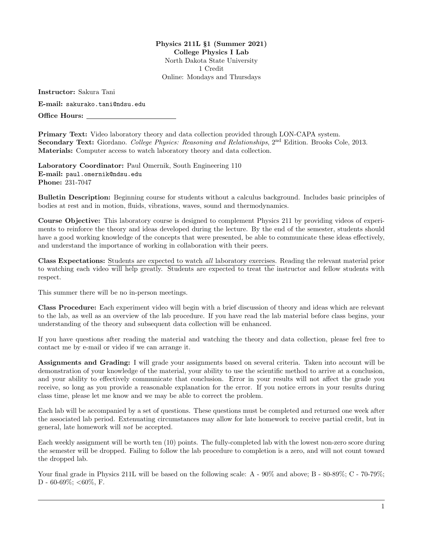Physics 211L §1 (Summer 2021) College Physics I Lab North Dakota State University 1 Credit Online: Mondays and Thursdays

Instructor: Sakura Tani E-mail: <sakurako.tani@ndsu.edu> Office Hours:

Primary Text: Video laboratory theory and data collection provided through LON-CAPA system. Secondary Text: Giordano. College Physics: Reasoning and Relationships, 2<sup>nd</sup> Edition. Brooks Cole. 2013. Materials: Computer access to watch laboratory theory and data collection.

Laboratory Coordinator: Paul Omernik, South Engineering 110 E-mail: <paul.omernik@ndsu.edu> Phone: 231-7047

Bulletin Description: Beginning course for students without a calculus background. Includes basic principles of bodies at rest and in motion, fluids, vibrations, waves, sound and thermodynamics.

Course Objective: This laboratory course is designed to complement Physics 211 by providing videos of experiments to reinforce the theory and ideas developed during the lecture. By the end of the semester, students should have a good working knowledge of the concepts that were presented, be able to communicate these ideas effectively, and understand the importance of working in collaboration with their peers.

Class Expectations: Students are expected to watch all laboratory exercises. Reading the relevant material prior to watching each video will help greatly. Students are expected to treat the instructor and fellow students with respect.

This summer there will be no in-person meetings.

Class Procedure: Each experiment video will begin with a brief discussion of theory and ideas which are relevant to the lab, as well as an overview of the lab procedure. If you have read the lab material before class begins, your understanding of the theory and subsequent data collection will be enhanced.

If you have questions after reading the material and watching the theory and data collection, please feel free to contact me by e-mail or video if we can arrange it.

Assignments and Grading: I will grade your assignments based on several criteria. Taken into account will be demonstration of your knowledge of the material, your ability to use the scientific method to arrive at a conclusion, and your ability to effectively communicate that conclusion. Error in your results will not affect the grade you receive, so long as you provide a reasonable explanation for the error. If you notice errors in your results during class time, please let me know and we may be able to correct the problem.

Each lab will be accompanied by a set of questions. These questions must be completed and returned one week after the associated lab period. Extenuating circumstances may allow for late homework to receive partial credit, but in general, late homework will not be accepted.

Each weekly assignment will be worth ten (10) points. The fully-completed lab with the lowest non-zero score during the semester will be dropped. Failing to follow the lab procedure to completion is a zero, and will not count toward the dropped lab.

Your final grade in Physics 211L will be based on the following scale: A -  $90\%$  and above; B -  $80-89\%$ ; C -  $70-79\%$ ; D - 60-69%; <60%, F.